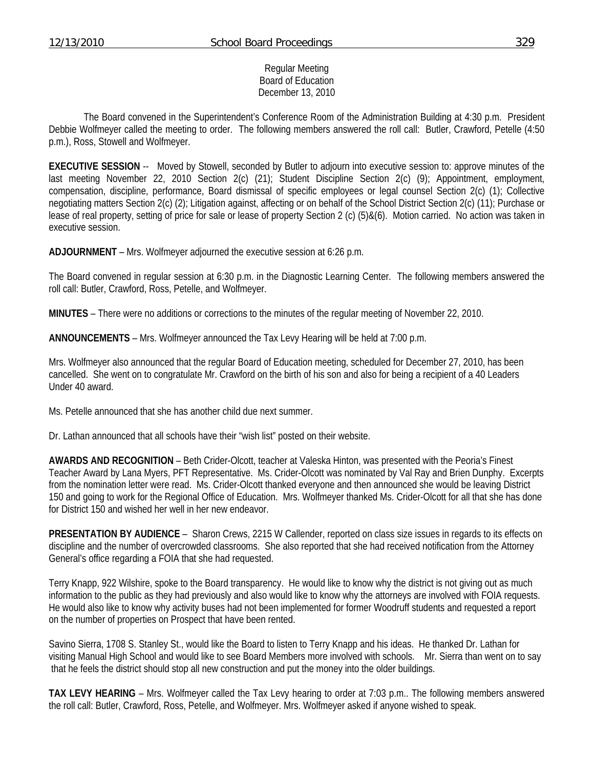#### Regular Meeting Board of Education December 13, 2010

 The Board convened in the Superintendent's Conference Room of the Administration Building at 4:30 p.m. President Debbie Wolfmeyer called the meeting to order. The following members answered the roll call: Butler, Crawford, Petelle (4:50 p.m.), Ross, Stowell and Wolfmeyer.

**EXECUTIVE SESSION** -- Moved by Stowell, seconded by Butler to adjourn into executive session to: approve minutes of the last meeting November 22, 2010 Section 2(c) (21); Student Discipline Section 2(c) (9); Appointment, employment, compensation, discipline, performance, Board dismissal of specific employees or legal counsel Section 2(c) (1); Collective negotiating matters Section 2(c) (2); Litigation against, affecting or on behalf of the School District Section 2(c) (11); Purchase or lease of real property, setting of price for sale or lease of property Section 2 (c) (5)&(6). Motion carried. No action was taken in executive session.

**ADJOURNMENT** – Mrs. Wolfmeyer adjourned the executive session at 6:26 p.m.

The Board convened in regular session at 6:30 p.m. in the Diagnostic Learning Center. The following members answered the roll call: Butler, Crawford, Ross, Petelle, and Wolfmeyer.

**MINUTES** – There were no additions or corrections to the minutes of the regular meeting of November 22, 2010.

**ANNOUNCEMENTS** – Mrs. Wolfmeyer announced the Tax Levy Hearing will be held at 7:00 p.m.

Mrs. Wolfmeyer also announced that the regular Board of Education meeting, scheduled for December 27, 2010, has been cancelled. She went on to congratulate Mr. Crawford on the birth of his son and also for being a recipient of a 40 Leaders Under 40 award.

Ms. Petelle announced that she has another child due next summer.

Dr. Lathan announced that all schools have their "wish list" posted on their website.

**AWARDS AND RECOGNITION** – Beth Crider-Olcott, teacher at Valeska Hinton, was presented with the Peoria's Finest Teacher Award by Lana Myers, PFT Representative. Ms. Crider-Olcott was nominated by Val Ray and Brien Dunphy. Excerpts from the nomination letter were read. Ms. Crider-Olcott thanked everyone and then announced she would be leaving District 150 and going to work for the Regional Office of Education. Mrs. Wolfmeyer thanked Ms. Crider-Olcott for all that she has done for District 150 and wished her well in her new endeavor.

**PRESENTATION BY AUDIENCE** – Sharon Crews, 2215 W Callender, reported on class size issues in regards to its effects on discipline and the number of overcrowded classrooms. She also reported that she had received notification from the Attorney General's office regarding a FOIA that she had requested.

Terry Knapp, 922 Wilshire, spoke to the Board transparency. He would like to know why the district is not giving out as much information to the public as they had previously and also would like to know why the attorneys are involved with FOIA requests. He would also like to know why activity buses had not been implemented for former Woodruff students and requested a report on the number of properties on Prospect that have been rented.

Savino Sierra, 1708 S. Stanley St., would like the Board to listen to Terry Knapp and his ideas. He thanked Dr. Lathan for visiting Manual High School and would like to see Board Members more involved with schools. Mr. Sierra than went on to say that he feels the district should stop all new construction and put the money into the older buildings.

**TAX LEVY HEARING** – Mrs. Wolfmeyer called the Tax Levy hearing to order at 7:03 p.m.. The following members answered the roll call: Butler, Crawford, Ross, Petelle, and Wolfmeyer. Mrs. Wolfmeyer asked if anyone wished to speak.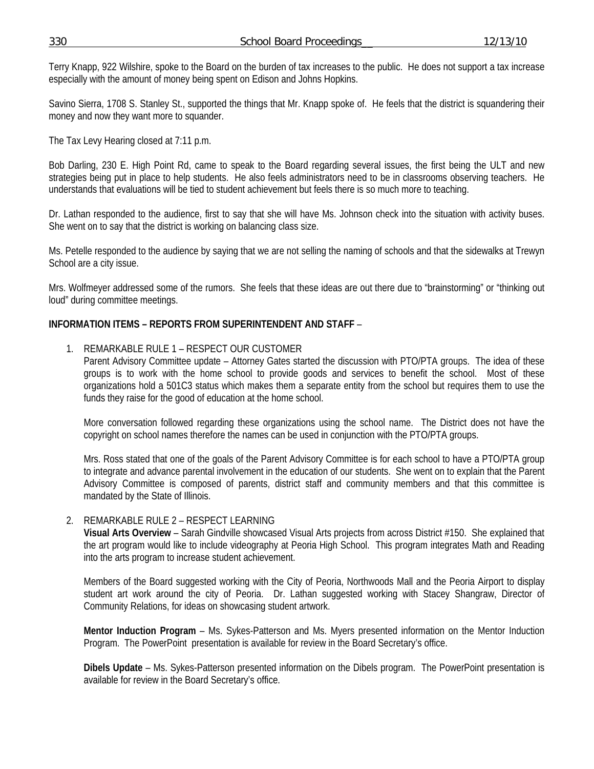Terry Knapp, 922 Wilshire, spoke to the Board on the burden of tax increases to the public. He does not support a tax increase especially with the amount of money being spent on Edison and Johns Hopkins.

Savino Sierra, 1708 S. Stanley St., supported the things that Mr. Knapp spoke of. He feels that the district is squandering their money and now they want more to squander.

The Tax Levy Hearing closed at 7:11 p.m.

Bob Darling, 230 E. High Point Rd, came to speak to the Board regarding several issues, the first being the ULT and new strategies being put in place to help students. He also feels administrators need to be in classrooms observing teachers. He understands that evaluations will be tied to student achievement but feels there is so much more to teaching.

Dr. Lathan responded to the audience, first to say that she will have Ms. Johnson check into the situation with activity buses. She went on to say that the district is working on balancing class size.

Ms. Petelle responded to the audience by saying that we are not selling the naming of schools and that the sidewalks at Trewyn School are a city issue.

Mrs. Wolfmeyer addressed some of the rumors. She feels that these ideas are out there due to "brainstorming" or "thinking out loud" during committee meetings.

### **INFORMATION ITEMS – REPORTS FROM SUPERINTENDENT AND STAFF** –

### 1. REMARKABLE RULE 1 – RESPECT OUR CUSTOMER

Parent Advisory Committee update – Attorney Gates started the discussion with PTO/PTA groups. The idea of these groups is to work with the home school to provide goods and services to benefit the school. Most of these organizations hold a 501C3 status which makes them a separate entity from the school but requires them to use the funds they raise for the good of education at the home school.

More conversation followed regarding these organizations using the school name. The District does not have the copyright on school names therefore the names can be used in conjunction with the PTO/PTA groups.

Mrs. Ross stated that one of the goals of the Parent Advisory Committee is for each school to have a PTO/PTA group to integrate and advance parental involvement in the education of our students. She went on to explain that the Parent Advisory Committee is composed of parents, district staff and community members and that this committee is mandated by the State of Illinois.

### 2. REMARKABLE RULE 2 – RESPECT LEARNING

**Visual Arts Overview** – Sarah Gindville showcased Visual Arts projects from across District #150. She explained that the art program would like to include videography at Peoria High School. This program integrates Math and Reading into the arts program to increase student achievement.

Members of the Board suggested working with the City of Peoria, Northwoods Mall and the Peoria Airport to display student art work around the city of Peoria. Dr. Lathan suggested working with Stacey Shangraw, Director of Community Relations, for ideas on showcasing student artwork.

**Mentor Induction Program** – Ms. Sykes-Patterson and Ms. Myers presented information on the Mentor Induction Program. The PowerPoint presentation is available for review in the Board Secretary's office.

**Dibels Update** – Ms. Sykes-Patterson presented information on the Dibels program. The PowerPoint presentation is available for review in the Board Secretary's office.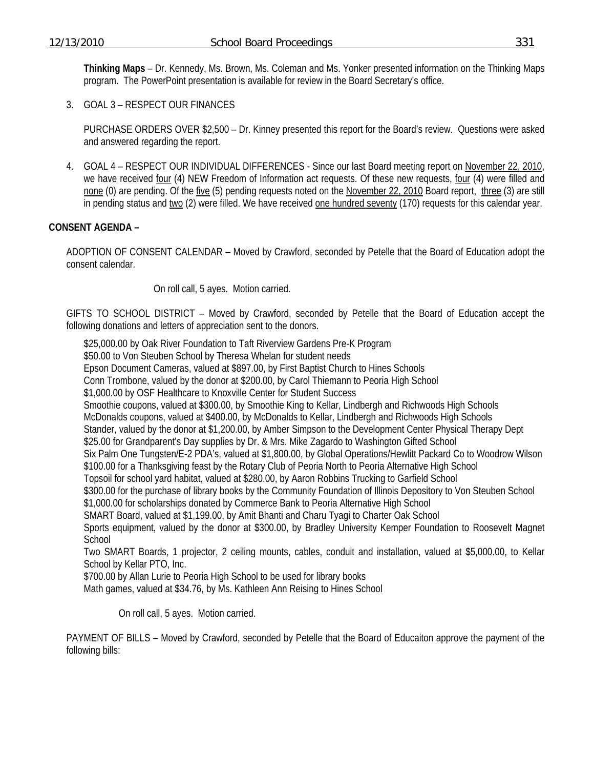**Thinking Maps** – Dr. Kennedy, Ms. Brown, Ms. Coleman and Ms. Yonker presented information on the Thinking Maps program. The PowerPoint presentation is available for review in the Board Secretary's office.

3. GOAL 3 – RESPECT OUR FINANCES

PURCHASE ORDERS OVER \$2,500 – Dr. Kinney presented this report for the Board's review. Questions were asked and answered regarding the report.

4. GOAL 4 – RESPECT OUR INDIVIDUAL DIFFERENCES - Since our last Board meeting report on November 22, 2010, we have received four (4) NEW Freedom of Information act requests. Of these new requests, four (4) were filled and none (0) are pending. Of the five (5) pending requests noted on the November 22, 2010 Board report, three (3) are still in pending status and two (2) were filled. We have received one hundred seventy (170) requests for this calendar year.

### **CONSENT AGENDA –**

ADOPTION OF CONSENT CALENDAR – Moved by Crawford, seconded by Petelle that the Board of Education adopt the consent calendar.

On roll call, 5 ayes. Motion carried.

GIFTS TO SCHOOL DISTRICT – Moved by Crawford, seconded by Petelle that the Board of Education accept the following donations and letters of appreciation sent to the donors.

 \$25,000.00 by Oak River Foundation to Taft Riverview Gardens Pre-K Program \$50.00 to Von Steuben School by Theresa Whelan for student needs Epson Document Cameras, valued at \$897.00, by First Baptist Church to Hines Schools Conn Trombone, valued by the donor at \$200.00, by Carol Thiemann to Peoria High School \$1,000.00 by OSF Healthcare to Knoxville Center for Student Success Smoothie coupons, valued at \$300.00, by Smoothie King to Kellar, Lindbergh and Richwoods High Schools McDonalds coupons, valued at \$400.00, by McDonalds to Kellar, Lindbergh and Richwoods High Schools Stander, valued by the donor at \$1,200.00, by Amber Simpson to the Development Center Physical Therapy Dept \$25.00 for Grandparent's Day supplies by Dr. & Mrs. Mike Zagardo to Washington Gifted School Six Palm One Tungsten/E-2 PDA's, valued at \$1,800.00, by Global Operations/Hewlitt Packard Co to Woodrow Wilson \$100.00 for a Thanksgiving feast by the Rotary Club of Peoria North to Peoria Alternative High School Topsoil for school yard habitat, valued at \$280.00, by Aaron Robbins Trucking to Garfield School \$300.00 for the purchase of library books by the Community Foundation of Illinois Depository to Von Steuben School \$1,000.00 for scholarships donated by Commerce Bank to Peoria Alternative High School SMART Board, valued at \$1,199.00, by Amit Bhanti and Charu Tyagi to Charter Oak School Sports equipment, valued by the donor at \$300.00, by Bradley University Kemper Foundation to Roosevelt Magnet **School** Two SMART Boards, 1 projector, 2 ceiling mounts, cables, conduit and installation, valued at \$5,000.00, to Kellar School by Kellar PTO, Inc. \$700.00 by Allan Lurie to Peoria High School to be used for library books

Math games, valued at \$34.76, by Ms. Kathleen Ann Reising to Hines School

On roll call, 5 ayes. Motion carried.

PAYMENT OF BILLS – Moved by Crawford, seconded by Petelle that the Board of Educaiton approve the payment of the following bills: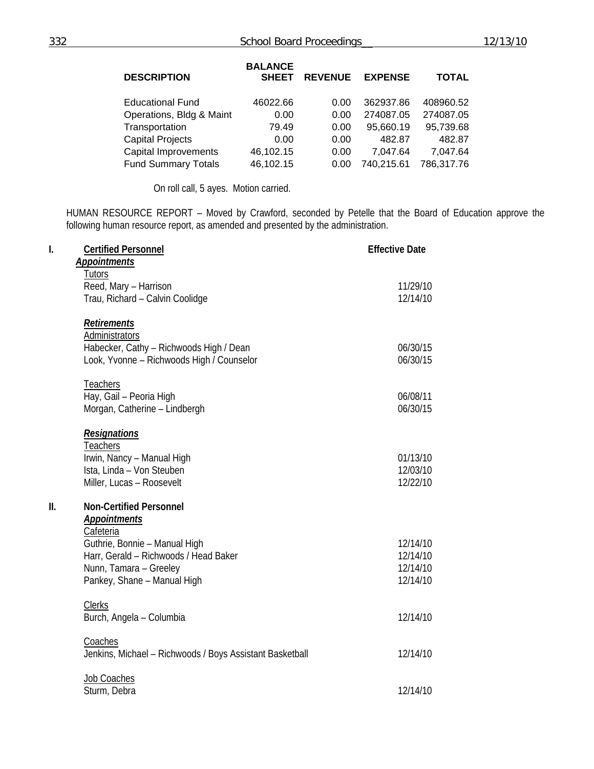| <b>DESCRIPTION</b>         | <b>BALANCE</b><br><b>SHEET</b> | <b>REVENUE</b> | <b>EXPENSE</b> | <b>TOTAL</b> |
|----------------------------|--------------------------------|----------------|----------------|--------------|
| <b>Educational Fund</b>    | 46022.66                       | 0.00           | 362937.86      | 408960.52    |
| Operations, Bldg & Maint   | 0.00                           | 0.00           | 274087.05      | 274087.05    |
| Transportation             | 79.49                          | 0.00           | 95,660.19      | 95,739.68    |
| <b>Capital Projects</b>    | 0.00                           | 0.00           | 482.87         | 482.87       |
| Capital Improvements       | 46,102.15                      | 0.00           | 7,047.64       | 7,047.64     |
| <b>Fund Summary Totals</b> | 46,102.15                      | 0.00           | 740,215.61     | 786,317.76   |

On roll call, 5 ayes. Motion carried.

HUMAN RESOURCE REPORT – Moved by Crawford, seconded by Petelle that the Board of Education approve the following human resource report, as amended and presented by the administration.

| I.  | <b>Certified Personnel</b><br><b>Appointments</b>                                                                                                                                                     | <b>Effective Date</b>                        |
|-----|-------------------------------------------------------------------------------------------------------------------------------------------------------------------------------------------------------|----------------------------------------------|
|     | <b>Tutors</b><br>Reed, Mary - Harrison<br>Trau, Richard - Calvin Coolidge                                                                                                                             | 11/29/10<br>12/14/10                         |
|     | <b>Retirements</b><br>Administrators<br>Habecker, Cathy - Richwoods High / Dean<br>Look, Yvonne - Richwoods High / Counselor                                                                          | 06/30/15<br>06/30/15                         |
|     | <b>Teachers</b><br>Hay, Gail - Peoria High<br>Morgan, Catherine - Lindbergh                                                                                                                           | 06/08/11<br>06/30/15                         |
|     | <b>Resignations</b><br>Teachers<br>Irwin, Nancy - Manual High<br>Ista, Linda - Von Steuben<br>Miller, Lucas - Roosevelt                                                                               | 01/13/10<br>12/03/10<br>12/22/10             |
| II. | <b>Non-Certified Personnel</b><br><b>Appointments</b><br>Cafeteria<br>Guthrie, Bonnie - Manual High<br>Harr, Gerald - Richwoods / Head Baker<br>Nunn, Tamara - Greeley<br>Pankey, Shane - Manual High | 12/14/10<br>12/14/10<br>12/14/10<br>12/14/10 |
|     | <b>Clerks</b><br>Burch, Angela - Columbia                                                                                                                                                             | 12/14/10                                     |
|     | Coaches<br>Jenkins, Michael - Richwoods / Boys Assistant Basketball                                                                                                                                   | 12/14/10                                     |
|     | Job Coaches<br>Sturm, Debra                                                                                                                                                                           | 12/14/10                                     |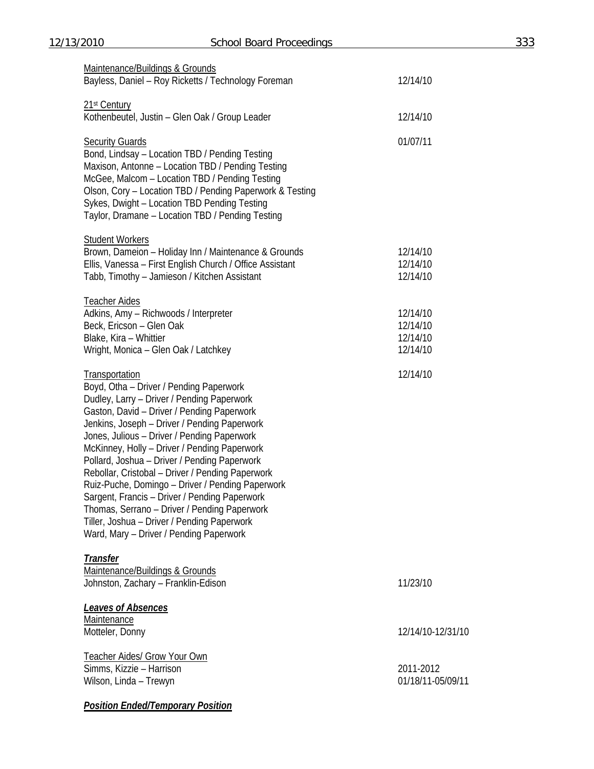| Maintenance/Buildings & Grounds<br>Bayless, Daniel - Roy Ricketts / Technology Foreman                                                                                                                                                                                                                                                                                                                                                                                                                                                                                                                                                                  | 12/14/10                                     |
|---------------------------------------------------------------------------------------------------------------------------------------------------------------------------------------------------------------------------------------------------------------------------------------------------------------------------------------------------------------------------------------------------------------------------------------------------------------------------------------------------------------------------------------------------------------------------------------------------------------------------------------------------------|----------------------------------------------|
| 21 <sup>st</sup> Century<br>Kothenbeutel, Justin - Glen Oak / Group Leader                                                                                                                                                                                                                                                                                                                                                                                                                                                                                                                                                                              | 12/14/10                                     |
| <b>Security Guards</b><br>Bond, Lindsay - Location TBD / Pending Testing<br>Maxison, Antonne - Location TBD / Pending Testing<br>McGee, Malcom - Location TBD / Pending Testing<br>Olson, Cory - Location TBD / Pending Paperwork & Testing<br>Sykes, Dwight - Location TBD Pending Testing<br>Taylor, Dramane - Location TBD / Pending Testing                                                                                                                                                                                                                                                                                                         | 01/07/11                                     |
| <b>Student Workers</b><br>Brown, Dameion - Holiday Inn / Maintenance & Grounds<br>Ellis, Vanessa - First English Church / Office Assistant<br>Tabb, Timothy - Jamieson / Kitchen Assistant                                                                                                                                                                                                                                                                                                                                                                                                                                                              | 12/14/10<br>12/14/10<br>12/14/10             |
| <b>Teacher Aides</b><br>Adkins, Amy - Richwoods / Interpreter<br>Beck, Ericson - Glen Oak<br>Blake, Kira - Whittier<br>Wright, Monica - Glen Oak / Latchkey                                                                                                                                                                                                                                                                                                                                                                                                                                                                                             | 12/14/10<br>12/14/10<br>12/14/10<br>12/14/10 |
| Transportation<br>Boyd, Otha - Driver / Pending Paperwork<br>Dudley, Larry - Driver / Pending Paperwork<br>Gaston, David - Driver / Pending Paperwork<br>Jenkins, Joseph - Driver / Pending Paperwork<br>Jones, Julious - Driver / Pending Paperwork<br>McKinney, Holly - Driver / Pending Paperwork<br>Pollard, Joshua - Driver / Pending Paperwork<br>Rebollar, Cristobal - Driver / Pending Paperwork<br>Ruiz-Puche, Domingo - Driver / Pending Paperwork<br>Sargent, Francis - Driver / Pending Paperwork<br>Thomas, Serrano - Driver / Pending Paperwork<br>Tiller, Joshua - Driver / Pending Paperwork<br>Ward, Mary - Driver / Pending Paperwork | 12/14/10                                     |
| <b>Transfer</b><br>Maintenance/Buildings & Grounds<br>Johnston, Zachary - Franklin-Edison                                                                                                                                                                                                                                                                                                                                                                                                                                                                                                                                                               | 11/23/10                                     |
| Leaves of Absences<br>Maintenance<br>Motteler, Donny                                                                                                                                                                                                                                                                                                                                                                                                                                                                                                                                                                                                    | 12/14/10-12/31/10                            |
| <b>Teacher Aides/ Grow Your Own</b><br>Simms, Kizzie - Harrison<br>Wilson, Linda - Trewyn                                                                                                                                                                                                                                                                                                                                                                                                                                                                                                                                                               | 2011-2012<br>01/18/11-05/09/11               |

*Position Ended/Temporary Position*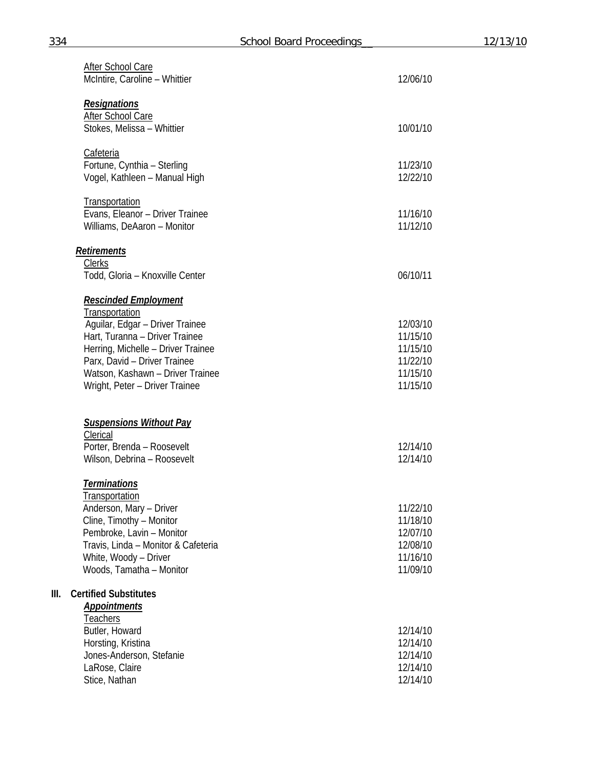|      | After School Care<br>McIntire, Caroline - Whittier                                                                                                                                                                                                             | 12/06/10                                                             |
|------|----------------------------------------------------------------------------------------------------------------------------------------------------------------------------------------------------------------------------------------------------------------|----------------------------------------------------------------------|
|      | <b>Resignations</b><br>After School Care<br>Stokes, Melissa - Whittier                                                                                                                                                                                         | 10/01/10                                                             |
|      | <b>Cafeteria</b><br>Fortune, Cynthia - Sterling<br>Vogel, Kathleen - Manual High                                                                                                                                                                               | 11/23/10<br>12/22/10                                                 |
|      | <b>Transportation</b><br>Evans, Eleanor - Driver Trainee<br>Williams, DeAaron - Monitor                                                                                                                                                                        | 11/16/10<br>11/12/10                                                 |
|      | <b>Retirements</b><br><b>Clerks</b><br>Todd, Gloria - Knoxville Center                                                                                                                                                                                         | 06/10/11                                                             |
|      | <b>Rescinded Employment</b><br>Transportation<br>Aguilar, Edgar - Driver Trainee<br>Hart, Turanna - Driver Trainee<br>Herring, Michelle - Driver Trainee<br>Parx, David - Driver Trainee<br>Watson, Kashawn - Driver Trainee<br>Wright, Peter - Driver Trainee | 12/03/10<br>11/15/10<br>11/15/10<br>11/22/10<br>11/15/10<br>11/15/10 |
|      | <b>Suspensions Without Pay</b><br>Clerical<br>Porter, Brenda - Roosevelt<br>Wilson, Debrina - Roosevelt                                                                                                                                                        | 12/14/10<br>12/14/10                                                 |
|      | <b>Terminations</b><br><u>Transportation</u><br>Anderson, Mary - Driver<br>Cline, Timothy - Monitor<br>Pembroke, Lavin - Monitor<br>Travis, Linda - Monitor & Cafeteria<br>White, Woody - Driver<br>Woods, Tamatha - Monitor                                   | 11/22/10<br>11/18/10<br>12/07/10<br>12/08/10<br>11/16/10<br>11/09/10 |
| III. | <b>Certified Substitutes</b><br><b>Appointments</b><br>Teachers<br>Butler, Howard<br>Horsting, Kristina<br>Jones-Anderson, Stefanie<br>LaRose, Claire<br>Stice, Nathan                                                                                         | 12/14/10<br>12/14/10<br>12/14/10<br>12/14/10<br>12/14/10             |

**III. Certified Substitutes**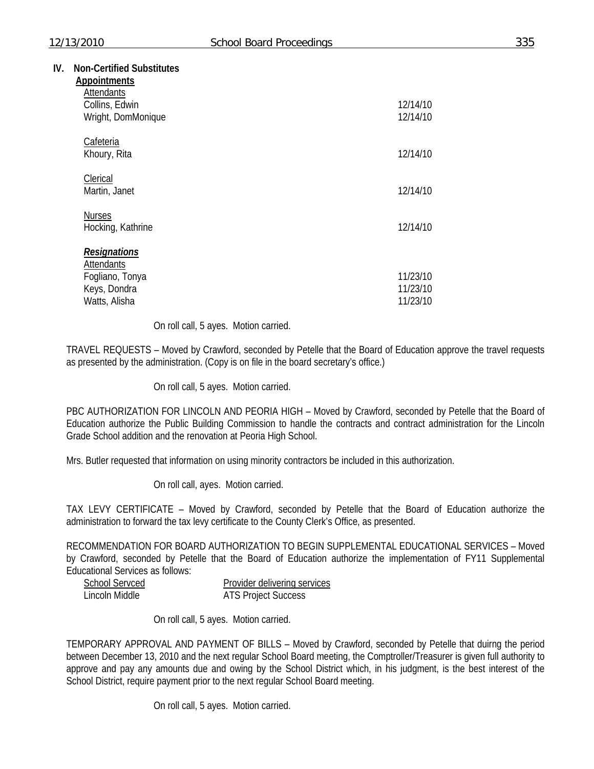| <b>Appointments</b>                                                                   |                                  |
|---------------------------------------------------------------------------------------|----------------------------------|
| Attendants<br>Collins, Edwin<br>Wright, DomMonique                                    | 12/14/10<br>12/14/10             |
| Cafeteria<br>Khoury, Rita                                                             | 12/14/10                         |
| Clerical<br>Martin, Janet                                                             | 12/14/10                         |
| <b>Nurses</b><br>Hocking, Kathrine                                                    | 12/14/10                         |
| <b>Resignations</b><br>Attendants<br>Fogliano, Tonya<br>Keys, Dondra<br>Watts, Alisha | 11/23/10<br>11/23/10<br>11/23/10 |

On roll call, 5 ayes. Motion carried.

TRAVEL REQUESTS – Moved by Crawford, seconded by Petelle that the Board of Education approve the travel requests as presented by the administration. (Copy is on file in the board secretary's office.)

On roll call, 5 ayes. Motion carried.

PBC AUTHORIZATION FOR LINCOLN AND PEORIA HIGH – Moved by Crawford, seconded by Petelle that the Board of Education authorize the Public Building Commission to handle the contracts and contract administration for the Lincoln Grade School addition and the renovation at Peoria High School.

Mrs. Butler requested that information on using minority contractors be included in this authorization.

On roll call, ayes. Motion carried.

TAX LEVY CERTIFICATE – Moved by Crawford, seconded by Petelle that the Board of Education authorize the administration to forward the tax levy certificate to the County Clerk's Office, as presented.

RECOMMENDATION FOR BOARD AUTHORIZATION TO BEGIN SUPPLEMENTAL EDUCATIONAL SERVICES – Moved by Crawford, seconded by Petelle that the Board of Education authorize the implementation of FY11 Supplemental Educational Services as follows:

| <b>School Servced</b> | Provider delivering services |
|-----------------------|------------------------------|
| Lincoln Middle        | <b>ATS Project Success</b>   |

On roll call, 5 ayes. Motion carried.

TEMPORARY APPROVAL AND PAYMENT OF BILLS – Moved by Crawford, seconded by Petelle that duirng the period between December 13, 2010 and the next regular School Board meeting, the Comptroller/Treasurer is given full authority to approve and pay any amounts due and owing by the School District which, in his judgment, is the best interest of the School District, require payment prior to the next regular School Board meeting.

On roll call, 5 ayes. Motion carried.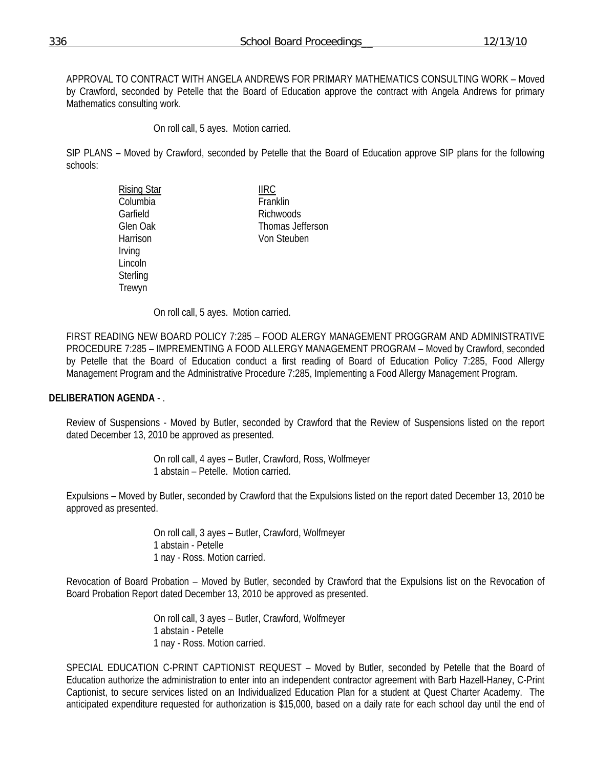APPROVAL TO CONTRACT WITH ANGELA ANDREWS FOR PRIMARY MATHEMATICS CONSULTING WORK – Moved by Crawford, seconded by Petelle that the Board of Education approve the contract with Angela Andrews for primary Mathematics consulting work.

On roll call, 5 ayes. Motion carried.

SIP PLANS – Moved by Crawford, seconded by Petelle that the Board of Education approve SIP plans for the following schools:

| <b>IIRC</b>      |
|------------------|
| Franklin         |
| Richwoods        |
| Thomas Jefferson |
| Von Steuben      |
|                  |
|                  |
|                  |
|                  |
|                  |

On roll call, 5 ayes. Motion carried.

FIRST READING NEW BOARD POLICY 7:285 – FOOD ALERGY MANAGEMENT PROGGRAM AND ADMINISTRATIVE PROCEDURE 7:285 – IMPREMENTING A FOOD ALLERGY MANAGEMENT PROGRAM – Moved by Crawford, seconded by Petelle that the Board of Education conduct a first reading of Board of Education Policy 7:285, Food Allergy Management Program and the Administrative Procedure 7:285, Implementing a Food Allergy Management Program.

## **DELIBERATION AGENDA** - .

Review of Suspensions - Moved by Butler, seconded by Crawford that the Review of Suspensions listed on the report dated December 13, 2010 be approved as presented.

> On roll call, 4 ayes – Butler, Crawford, Ross, Wolfmeyer 1 abstain – Petelle. Motion carried.

Expulsions – Moved by Butler, seconded by Crawford that the Expulsions listed on the report dated December 13, 2010 be approved as presented.

> On roll call, 3 ayes – Butler, Crawford, Wolfmeyer 1 abstain - Petelle 1 nay - Ross. Motion carried.

Revocation of Board Probation – Moved by Butler, seconded by Crawford that the Expulsions list on the Revocation of Board Probation Report dated December 13, 2010 be approved as presented.

> On roll call, 3 ayes – Butler, Crawford, Wolfmeyer 1 abstain - Petelle 1 nay - Ross. Motion carried.

SPECIAL EDUCATION C-PRINT CAPTIONIST REQUEST – Moved by Butler, seconded by Petelle that the Board of Education authorize the administration to enter into an independent contractor agreement with Barb Hazell-Haney, C-Print Captionist, to secure services listed on an Individualized Education Plan for a student at Quest Charter Academy. The anticipated expenditure requested for authorization is \$15,000, based on a daily rate for each school day until the end of